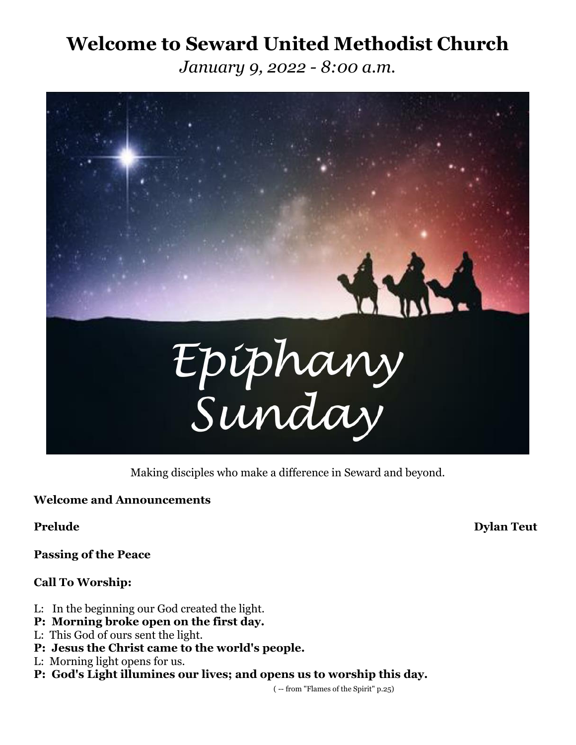# **Welcome to Seward United Methodist Church**

*January 9, 2022 - 8:00 a.m.*



Making disciples who make a difference in Seward and beyond.

**Welcome and Announcements**

**Passing of the Peace**

## **Call To Worship:**

- L: In the beginning our God created the light.
- **P: Morning broke open on the first day.**
- L: This God of ours sent the light.
- **P: Jesus the Christ came to the world's people.**
- L: Morning light opens for us.
- **P: God's Light illumines our lives; and opens us to worship this day.**

( -- from "Flames of the Spirit" p.25)

**Prelude Dylan Teut**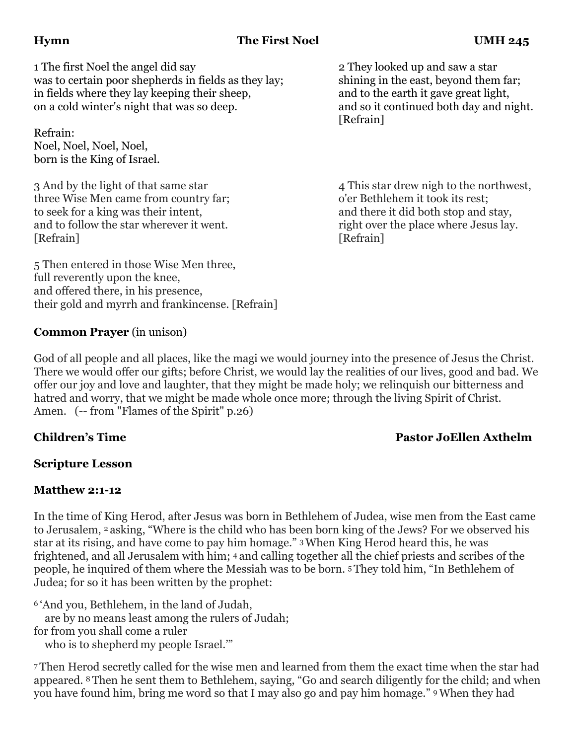# **Hymn The First Noel UMH 245**

1 The first Noel the angel did say 2 They looked up and saw a star was to certain poor shepherds in fields as they lay; shining in the east, beyond them far; in fields where they lay keeping their sheep, and to the earth it gave great light, on a cold winter's night that was so deep. and so it continued both day and night.

Refrain: Noel, Noel, Noel, Noel, born is the King of Israel.

3 And by the light of that same star 4 This star drew night of the northwest, three Wise Men came from country far; o'er Bethlehem it took its rest; to seek for a king was their intent, and there it did both stop and stay, and to follow the star wherever it went. right over the place where Jesus lay. [Refrain] [Refrain]

5 Then entered in those Wise Men three, full reverently upon the knee, and offered there, in his presence, their gold and myrrh and frankincense. [Refrain] [Refrain]

### **Common Prayer** (in unison)

God of all people and all places, like the magi we would journey into the presence of Jesus the Christ. There we would offer our gifts; before Christ, we would lay the realities of our lives, good and bad. We offer our joy and love and laughter, that they might be made holy; we relinquish our bitterness and hatred and worry, that we might be made whole once more; through the living Spirit of Christ. Amen. (-- from "Flames of the Spirit" p.26)

## **Children's Time Pastor JoEllen Axthelm**

### **Scripture Lesson**

### **Matthew 2:1-12**

In the time of King Herod, after Jesus was born in Bethlehem of Judea, wise men from the East came to Jerusalem, <sup>2</sup> asking, "Where is the child who has been born king of the Jews? For we observed his star at its rising, and have come to pay him homage." 3When King Herod heard this, he was frightened, and all Jerusalem with him; <sup>4</sup> and calling together all the chief priests and scribes of the people, he inquired of them where the Messiah was to be born. <sup>5</sup> They told him, "In Bethlehem of Judea; for so it has been written by the prophet:

<sup>6</sup> 'And you, Bethlehem, in the land of Judah,

are by no means least among the rulers of Judah;

for from you shall come a ruler

who is to shepherd my people Israel.'"

<sup>7</sup> Then Herod secretly called for the wise men and learned from them the exact time when the star had appeared. <sup>8</sup> Then he sent them to Bethlehem, saying, "Go and search diligently for the child; and when you have found him, bring me word so that I may also go and pay him homage." 9When they had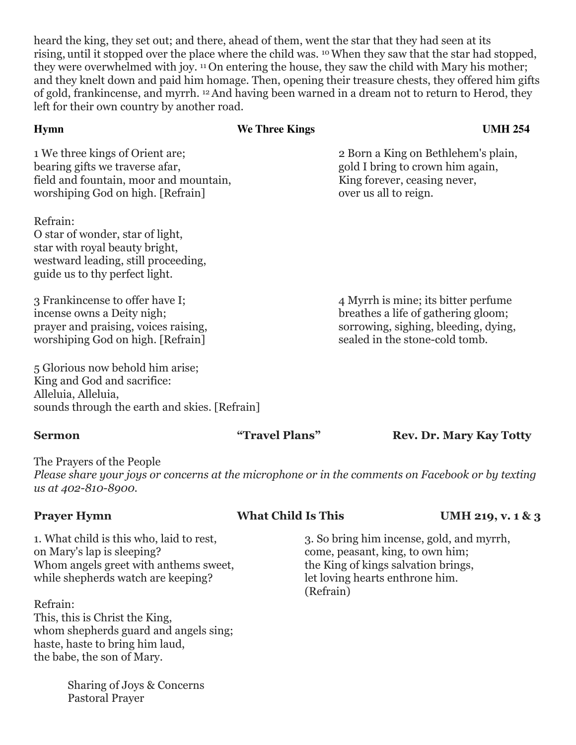heard the king, they set out; and there, ahead of them, went the star that they had seen at its rising, until it stopped over the place where the child was. 10When they saw that the star had stopped, they were overwhelmed with joy. <sup>11</sup> On entering the house, they saw the child with Mary his mother; and they knelt down and paid him homage. Then, opening their treasure chests, they offered him gifts of gold, frankincense, and myrrh. 12And having been warned in a dream not to return to Herod, they left for their own country by another road.

| <b>Hymn</b>                                                                                                                                             | We Three Kings | <b>UMH 254</b>                                                                                                                                       |
|---------------------------------------------------------------------------------------------------------------------------------------------------------|----------------|------------------------------------------------------------------------------------------------------------------------------------------------------|
| 1 We three kings of Orient are;<br>bearing gifts we traverse afar,<br>field and fountain, moor and mountain,<br>worshiping God on high. [Refrain]       |                | 2 Born a King on Bethlehem's plain,<br>gold I bring to crown him again,<br>King forever, ceasing never,<br>over us all to reign.                     |
| Refrain:<br>O star of wonder, star of light,<br>star with royal beauty bright,<br>westward leading, still proceeding,<br>guide us to thy perfect light. |                |                                                                                                                                                      |
| 3 Frankincense to offer have I;<br>incense owns a Deity nigh;<br>prayer and praising, voices raising,<br>worshiping God on high. [Refrain]              |                | 4 Myrrh is mine; its bitter perfume<br>breathes a life of gathering gloom;<br>sorrowing, sighing, bleeding, dying,<br>sealed in the stone-cold tomb. |

sounds through the earth and skies. [Refrain]

**Sermon "Travel Plans"** Rev. Dr. Mary Kay Totty

The Prayers of the People *Please share your joys or concerns at the microphone or in the comments on Facebook or by texting us at 402-810-8900.*

## **Prayer Hymn What Child Is This UMH 219, v. 1 & 3**

on Mary's lap is sleeping? come, peasant, king, to own him; Whom angels greet with anthems sweet, the King of kings salvation brings, while shepherds watch are keeping? let loving hearts enthrone him.

Refrain: This, this is Christ the King, whom shepherds guard and angels sing; haste, haste to bring him laud, the babe, the son of Mary.

> Sharing of Joys & Concerns Pastoral Prayer

1. What child is this who, laid to rest, 3. So bring him incense, gold, and myrrh, (Refrain)

5 Glorious now behold him arise; King and God and sacrifice: Alleluia, Alleluia,